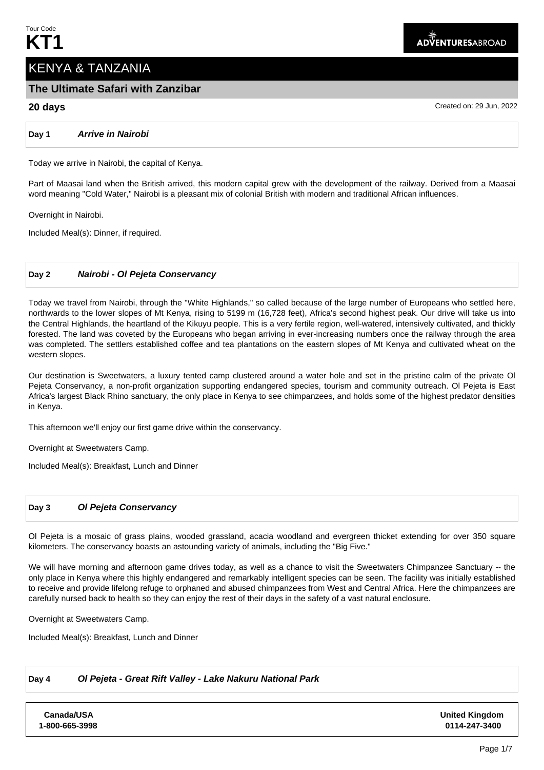# KENYA & TANZANIA

# **The Ultimate Safari with Zanzibar**

**20 days** Created on: 29 Jun, 2022

# **Day 1 Arrive in Nairobi**

Today we arrive in Nairobi, the capital of Kenya.

Part of Maasai land when the British arrived, this modern capital grew with the development of the railway. Derived from a Maasai word meaning "Cold Water," Nairobi is a pleasant mix of colonial British with modern and traditional African influences.

Overnight in Nairobi.

Included Meal(s): Dinner, if required.

# **Day 2 Nairobi - Ol Pejeta Conservancy**

Today we travel from Nairobi, through the "White Highlands," so called because of the large number of Europeans who settled here, northwards to the lower slopes of Mt Kenya, rising to 5199 m (16,728 feet), Africa's second highest peak. Our drive will take us into the Central Highlands, the heartland of the Kikuyu people. This is a very fertile region, well-watered, intensively cultivated, and thickly forested. The land was coveted by the Europeans who began arriving in ever-increasing numbers once the railway through the area was completed. The settlers established coffee and tea plantations on the eastern slopes of Mt Kenya and cultivated wheat on the western slopes.

Our destination is Sweetwaters, a luxury tented camp clustered around a water hole and set in the pristine calm of the private Ol Pejeta Conservancy, a non-profit organization supporting endangered species, tourism and community outreach. Ol Pejeta is East Africa's largest Black Rhino sanctuary, the only place in Kenya to see chimpanzees, and holds some of the highest predator densities in Kenya.

This afternoon we'll enjoy our first game drive within the conservancy.

Overnight at Sweetwaters Camp.

Included Meal(s): Breakfast, Lunch and Dinner

# **Day 3 Ol Pejeta Conservancy**

Ol Pejeta is a mosaic of grass plains, wooded grassland, acacia woodland and evergreen thicket extending for over 350 square kilometers. The conservancy boasts an astounding variety of animals, including the "Big Five."

We will have morning and afternoon game drives today, as well as a chance to visit the Sweetwaters Chimpanzee Sanctuary -- the only place in Kenya where this highly endangered and remarkably intelligent species can be seen. The facility was initially established to receive and provide lifelong refuge to orphaned and abused chimpanzees from West and Central Africa. Here the chimpanzees are carefully nursed back to health so they can enjoy the rest of their days in the safety of a vast natural enclosure.

Overnight at Sweetwaters Camp.

Included Meal(s): Breakfast, Lunch and Dinner

# **Day 4 Ol Pejeta - Great Rift Valley - Lake Nakuru National Park**

**Canada/USA 1-800-665-3998** **United Kingdom 0114-247-3400**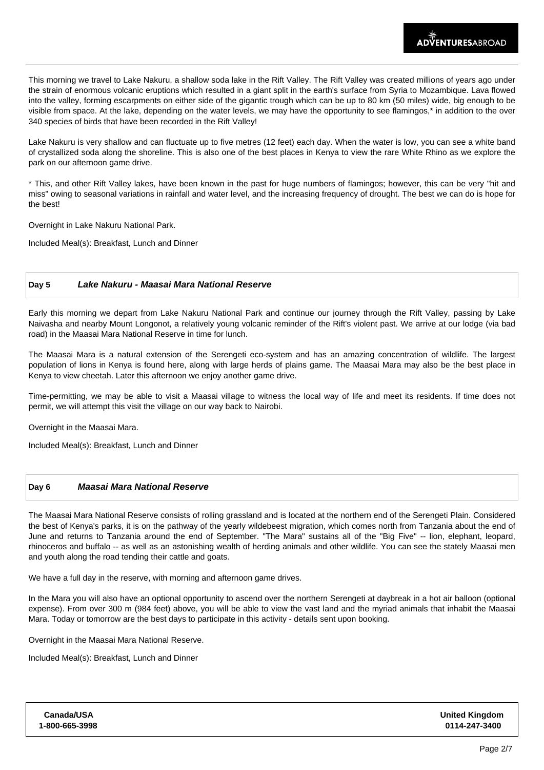This morning we travel to Lake Nakuru, a shallow soda lake in the Rift Valley. The Rift Valley was created millions of years ago under the strain of enormous volcanic eruptions which resulted in a giant split in the earth's surface from Syria to Mozambique. Lava flowed into the valley, forming escarpments on either side of the gigantic trough which can be up to 80 km (50 miles) wide, big enough to be visible from space. At the lake, depending on the water levels, we may have the opportunity to see flamingos,\* in addition to the over 340 species of birds that have been recorded in the Rift Valley!

Lake Nakuru is very shallow and can fluctuate up to five metres (12 feet) each day. When the water is low, you can see a white band of crystallized soda along the shoreline. This is also one of the best places in Kenya to view the rare White Rhino as we explore the park on our afternoon game drive.

\* This, and other Rift Valley lakes, have been known in the past for huge numbers of flamingos; however, this can be very "hit and miss" owing to seasonal variations in rainfall and water level, and the increasing frequency of drought. The best we can do is hope for the best!

Overnight in Lake Nakuru National Park.

Included Meal(s): Breakfast, Lunch and Dinner

### **Day 5 Lake Nakuru - Maasai Mara National Reserve**

Early this morning we depart from Lake Nakuru National Park and continue our journey through the Rift Valley, passing by Lake Naivasha and nearby Mount Longonot, a relatively young volcanic reminder of the Rift's violent past. We arrive at our lodge (via bad road) in the Maasai Mara National Reserve in time for lunch.

The Maasai Mara is a natural extension of the Serengeti eco-system and has an amazing concentration of wildlife. The largest population of lions in Kenya is found here, along with large herds of plains game. The Maasai Mara may also be the best place in Kenya to view cheetah. Later this afternoon we enjoy another game drive.

Time-permitting, we may be able to visit a Maasai village to witness the local way of life and meet its residents. If time does not permit, we will attempt this visit the village on our way back to Nairobi.

Overnight in the Maasai Mara.

Included Meal(s): Breakfast, Lunch and Dinner

# **Day 6 Maasai Mara National Reserve**

The Maasai Mara National Reserve consists of rolling grassland and is located at the northern end of the Serengeti Plain. Considered the best of Kenya's parks, it is on the pathway of the yearly wildebeest migration, which comes north from Tanzania about the end of June and returns to Tanzania around the end of September. "The Mara" sustains all of the "Big Five" -- lion, elephant, leopard, rhinoceros and buffalo -- as well as an astonishing wealth of herding animals and other wildlife. You can see the stately Maasai men and youth along the road tending their cattle and goats.

We have a full day in the reserve, with morning and afternoon game drives.

In the Mara you will also have an optional opportunity to ascend over the northern Serengeti at daybreak in a hot air balloon (optional expense). From over 300 m (984 feet) above, you will be able to view the vast land and the myriad animals that inhabit the Maasai Mara. Today or tomorrow are the best days to participate in this activity - details sent upon booking.

Overnight in the Maasai Mara National Reserve.

Included Meal(s): Breakfast, Lunch and Dinner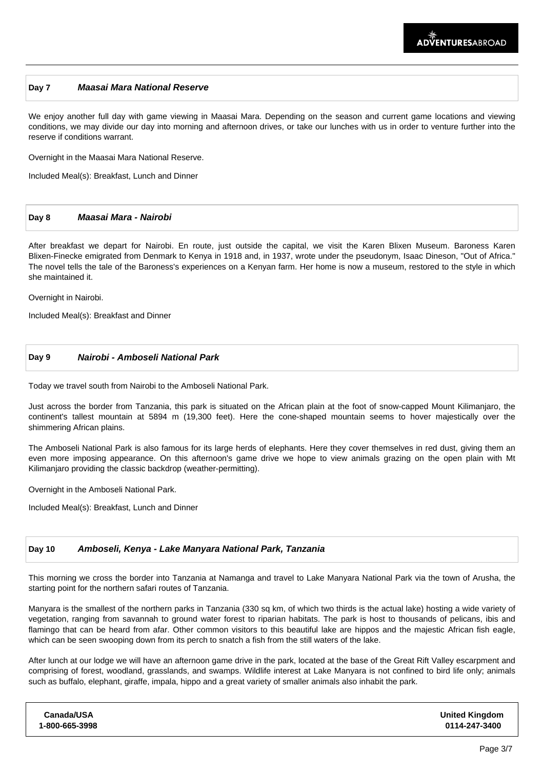# **Day 7 Maasai Mara National Reserve**

We enjoy another full day with game viewing in Maasai Mara. Depending on the season and current game locations and viewing conditions, we may divide our day into morning and afternoon drives, or take our lunches with us in order to venture further into the reserve if conditions warrant.

Overnight in the Maasai Mara National Reserve.

Included Meal(s): Breakfast, Lunch and Dinner

## **Day 8 Maasai Mara - Nairobi**

After breakfast we depart for Nairobi. En route, just outside the capital, we visit the Karen Blixen Museum. Baroness Karen Blixen-Finecke emigrated from Denmark to Kenya in 1918 and, in 1937, wrote under the pseudonym, Isaac Dineson, "Out of Africa." The novel tells the tale of the Baroness's experiences on a Kenyan farm. Her home is now a museum, restored to the style in which she maintained it.

Overnight in Nairobi.

Included Meal(s): Breakfast and Dinner

# **Day 9 Nairobi - Amboseli National Park**

Today we travel south from Nairobi to the Amboseli National Park.

Just across the border from Tanzania, this park is situated on the African plain at the foot of snow-capped Mount Kilimanjaro, the continent's tallest mountain at 5894 m (19,300 feet). Here the cone-shaped mountain seems to hover majestically over the shimmering African plains.

The Amboseli National Park is also famous for its large herds of elephants. Here they cover themselves in red dust, giving them an even more imposing appearance. On this afternoon's game drive we hope to view animals grazing on the open plain with Mt Kilimanjaro providing the classic backdrop (weather-permitting).

Overnight in the Amboseli National Park.

Included Meal(s): Breakfast, Lunch and Dinner

#### **Day 10 Amboseli, Kenya - Lake Manyara National Park, Tanzania**

This morning we cross the border into Tanzania at Namanga and travel to Lake Manyara National Park via the town of Arusha, the starting point for the northern safari routes of Tanzania.

Manyara is the smallest of the northern parks in Tanzania (330 sq km, of which two thirds is the actual lake) hosting a wide variety of vegetation, ranging from savannah to ground water forest to riparian habitats. The park is host to thousands of pelicans, ibis and flamingo that can be heard from afar. Other common visitors to this beautiful lake are hippos and the majestic African fish eagle. which can be seen swooping down from its perch to snatch a fish from the still waters of the lake.

After lunch at our lodge we will have an afternoon game drive in the park, located at the base of the Great Rift Valley escarpment and comprising of forest, woodland, grasslands, and swamps. Wildlife interest at Lake Manyara is not confined to bird life only; animals such as buffalo, elephant, giraffe, impala, hippo and a great variety of smaller animals also inhabit the park.

| Canada/USA     | <b>United Kingdom</b> |
|----------------|-----------------------|
| 1-800-665-3998 | 0114-247-3400         |
|                |                       |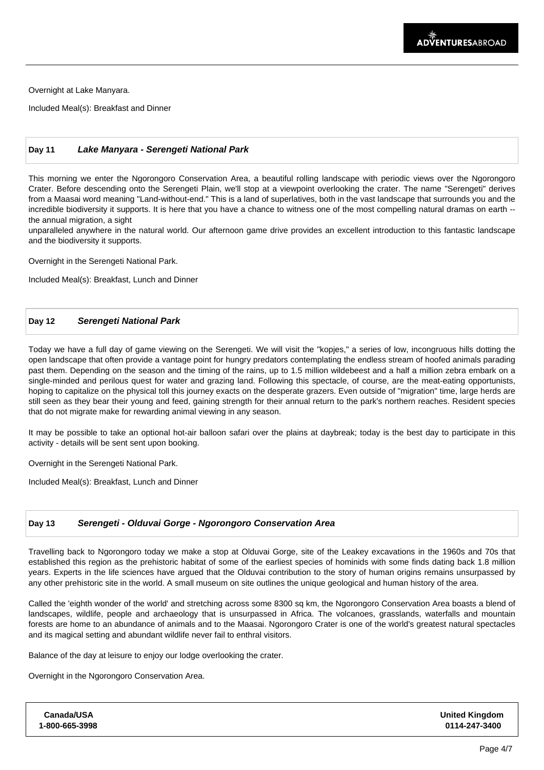Overnight at Lake Manyara.

Included Meal(s): Breakfast and Dinner

# **Day 11 Lake Manyara - Serengeti National Park**

This morning we enter the Ngorongoro Conservation Area, a beautiful rolling landscape with periodic views over the Ngorongoro Crater. Before descending onto the Serengeti Plain, we'll stop at a viewpoint overlooking the crater. The name "Serengeti" derives from a Maasai word meaning "Land-without-end." This is a land of superlatives, both in the vast landscape that surrounds you and the incredible biodiversity it supports. It is here that you have a chance to witness one of the most compelling natural dramas on earth - the annual migration, a sight

unparalleled anywhere in the natural world. Our afternoon game drive provides an excellent introduction to this fantastic landscape and the biodiversity it supports.

Overnight in the Serengeti National Park.

Included Meal(s): Breakfast, Lunch and Dinner

## **Day 12 Serengeti National Park**

Today we have a full day of game viewing on the Serengeti. We will visit the "kopjes," a series of low, incongruous hills dotting the open landscape that often provide a vantage point for hungry predators contemplating the endless stream of hoofed animals parading past them. Depending on the season and the timing of the rains, up to 1.5 million wildebeest and a half a million zebra embark on a single-minded and perilous quest for water and grazing land. Following this spectacle, of course, are the meat-eating opportunists, hoping to capitalize on the physical toll this journey exacts on the desperate grazers. Even outside of "migration" time, large herds are still seen as they bear their young and feed, gaining strength for their annual return to the park's northern reaches. Resident species that do not migrate make for rewarding animal viewing in any season.

It may be possible to take an optional hot-air balloon safari over the plains at daybreak; today is the best day to participate in this activity - details will be sent sent upon booking.

Overnight in the Serengeti National Park.

Included Meal(s): Breakfast, Lunch and Dinner

# **Day 13 Serengeti - Olduvai Gorge - Ngorongoro Conservation Area**

Travelling back to Ngorongoro today we make a stop at Olduvai Gorge, site of the Leakey excavations in the 1960s and 70s that established this region as the prehistoric habitat of some of the earliest species of hominids with some finds dating back 1.8 million years. Experts in the life sciences have argued that the Olduvai contribution to the story of human origins remains unsurpassed by any other prehistoric site in the world. A small museum on site outlines the unique geological and human history of the area.

Called the 'eighth wonder of the world' and stretching across some 8300 sq km, the Ngorongoro Conservation Area boasts a blend of landscapes, wildlife, people and archaeology that is unsurpassed in Africa. The volcanoes, grasslands, waterfalls and mountain forests are home to an abundance of animals and to the Maasai. Ngorongoro Crater is one of the world's greatest natural spectacles and its magical setting and abundant wildlife never fail to enthral visitors.

Balance of the day at leisure to enjoy our lodge overlooking the crater.

Overnight in the Ngorongoro Conservation Area.

| Canada/USA     | <b>United Kingdom</b> |
|----------------|-----------------------|
| 1-800-665-3998 | 0114-247-3400         |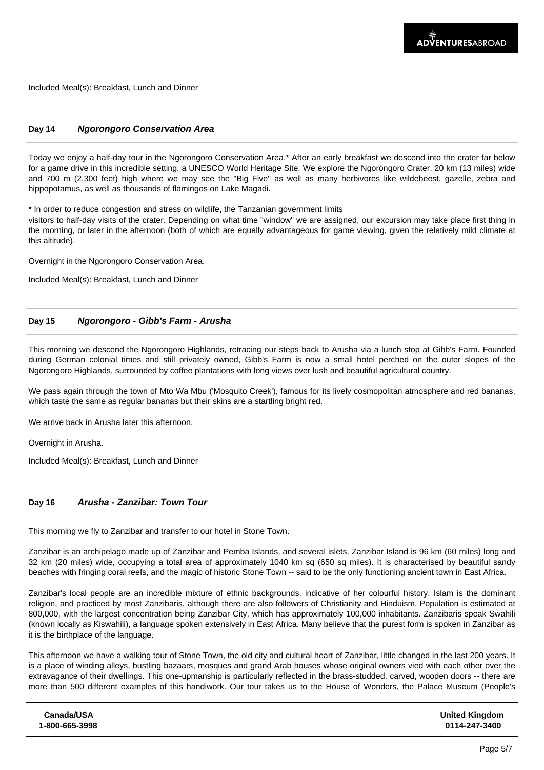Included Meal(s): Breakfast, Lunch and Dinner

#### **Day 14 Ngorongoro Conservation Area**

Today we enjoy a half-day tour in the Ngorongoro Conservation Area.\* After an early breakfast we descend into the crater far below for a game drive in this incredible setting, a UNESCO World Heritage Site. We explore the Ngorongoro Crater, 20 km (13 miles) wide and 700 m (2,300 feet) high where we may see the "Big Five" as well as many herbivores like wildebeest, gazelle, zebra and hippopotamus, as well as thousands of flamingos on Lake Magadi.

\* In order to reduce congestion and stress on wildlife, the Tanzanian government limits

visitors to half-day visits of the crater. Depending on what time "window" we are assigned, our excursion may take place first thing in the morning, or later in the afternoon (both of which are equally advantageous for game viewing, given the relatively mild climate at this altitude).

Overnight in the Ngorongoro Conservation Area.

Included Meal(s): Breakfast, Lunch and Dinner

# **Day 15 Ngorongoro - Gibb's Farm - Arusha**

This morning we descend the Ngorongoro Highlands, retracing our steps back to Arusha via a lunch stop at Gibb's Farm. Founded during German colonial times and still privately owned, Gibb's Farm is now a small hotel perched on the outer slopes of the Ngorongoro Highlands, surrounded by coffee plantations with long views over lush and beautiful agricultural country.

We pass again through the town of Mto Wa Mbu ('Mosquito Creek'), famous for its lively cosmopolitan atmosphere and red bananas, which taste the same as regular bananas but their skins are a startling bright red.

We arrive back in Arusha later this afternoon.

Overnight in Arusha.

Included Meal(s): Breakfast, Lunch and Dinner

#### **Day 16 Arusha - Zanzibar: Town Tour**

This morning we fly to Zanzibar and transfer to our hotel in Stone Town.

Zanzibar is an archipelago made up of Zanzibar and Pemba Islands, and several islets. Zanzibar Island is 96 km (60 miles) long and 32 km (20 miles) wide, occupying a total area of approximately 1040 km sq (650 sq miles). It is characterised by beautiful sandy beaches with fringing coral reefs, and the magic of historic Stone Town -- said to be the only functioning ancient town in East Africa.

Zanzibar's local people are an incredible mixture of ethnic backgrounds, indicative of her colourful history. Islam is the dominant religion, and practiced by most Zanzibaris, although there are also followers of Christianity and Hinduism. Population is estimated at 800,000, with the largest concentration being Zanzibar City, which has approximately 100,000 inhabitants. Zanzibaris speak Swahili (known locally as Kiswahili), a language spoken extensively in East Africa. Many believe that the purest form is spoken in Zanzibar as it is the birthplace of the language.

This afternoon we have a walking tour of Stone Town, the old city and cultural heart of Zanzibar, little changed in the last 200 years. It is a place of winding alleys, bustling bazaars, mosques and grand Arab houses whose original owners vied with each other over the extravagance of their dwellings. This one-upmanship is particularly reflected in the brass-studded, carved, wooden doors -- there are more than 500 different examples of this handiwork. Our tour takes us to the House of Wonders, the Palace Museum (People's

| Canada/USA     | <b>United Kingdom</b> |
|----------------|-----------------------|
| 1-800-665-3998 | 0114-247-3400         |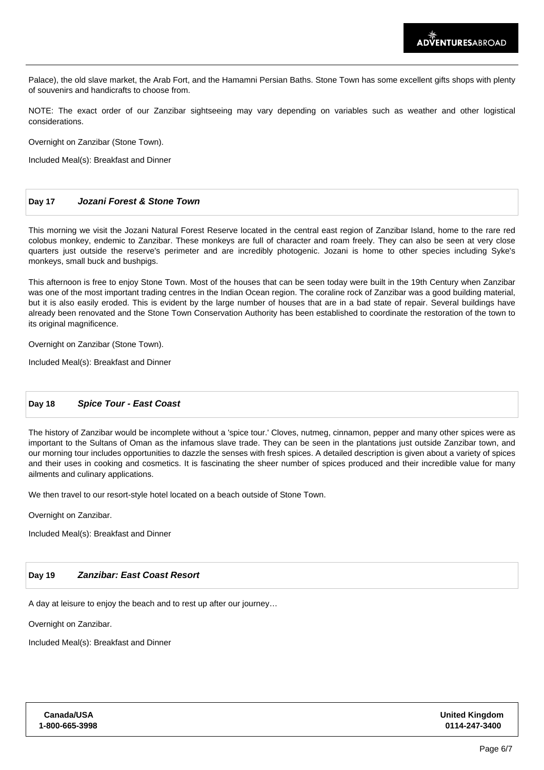Palace), the old slave market, the Arab Fort, and the Hamamni Persian Baths. Stone Town has some excellent gifts shops with plenty of souvenirs and handicrafts to choose from.

NOTE: The exact order of our Zanzibar sightseeing may vary depending on variables such as weather and other logistical considerations.

Overnight on Zanzibar (Stone Town).

Included Meal(s): Breakfast and Dinner

# **Day 17 Jozani Forest & Stone Town**

This morning we visit the Jozani Natural Forest Reserve located in the central east region of Zanzibar Island, home to the rare red colobus monkey, endemic to Zanzibar. These monkeys are full of character and roam freely. They can also be seen at very close quarters just outside the reserve's perimeter and are incredibly photogenic. Jozani is home to other species including Syke's monkeys, small buck and bushpigs.

This afternoon is free to enjoy Stone Town. Most of the houses that can be seen today were built in the 19th Century when Zanzibar was one of the most important trading centres in the Indian Ocean region. The coraline rock of Zanzibar was a good building material, but it is also easily eroded. This is evident by the large number of houses that are in a bad state of repair. Several buildings have already been renovated and the Stone Town Conservation Authority has been established to coordinate the restoration of the town to its original magnificence.

Overnight on Zanzibar (Stone Town).

Included Meal(s): Breakfast and Dinner

## **Day 18 Spice Tour - East Coast**

The history of Zanzibar would be incomplete without a 'spice tour.' Cloves, nutmeg, cinnamon, pepper and many other spices were as important to the Sultans of Oman as the infamous slave trade. They can be seen in the plantations just outside Zanzibar town, and our morning tour includes opportunities to dazzle the senses with fresh spices. A detailed description is given about a variety of spices and their uses in cooking and cosmetics. It is fascinating the sheer number of spices produced and their incredible value for many ailments and culinary applications.

We then travel to our resort-style hotel located on a beach outside of Stone Town.

Overnight on Zanzibar.

Included Meal(s): Breakfast and Dinner

#### **Day 19 Zanzibar: East Coast Resort**

A day at leisure to enjoy the beach and to rest up after our journey…

Overnight on Zanzibar.

Included Meal(s): Breakfast and Dinner

| Canada/USA     | <b>United Kingdom</b> |
|----------------|-----------------------|
| 1-800-665-3998 | 0114-247-3400         |